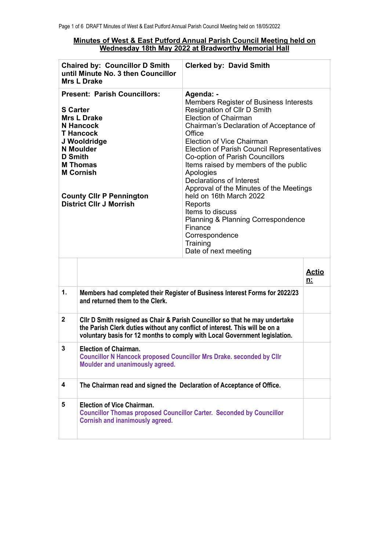## **Minutes of West & East Putford Annual Parish Council Meeting held on Wednesday 18th May 2022 at Bradworthy Memorial Hall**

|                                   | <b>Chaired by: Councillor D Smith</b><br>until Minute No. 3 then Councillor<br><b>Mrs L Drake</b>                                                                                                                                                 | <b>Clerked by: David Smith</b>                                                                                                                                                                                                                                                                                                                                                                                                                                                                                                                                                            |                    |
|-----------------------------------|---------------------------------------------------------------------------------------------------------------------------------------------------------------------------------------------------------------------------------------------------|-------------------------------------------------------------------------------------------------------------------------------------------------------------------------------------------------------------------------------------------------------------------------------------------------------------------------------------------------------------------------------------------------------------------------------------------------------------------------------------------------------------------------------------------------------------------------------------------|--------------------|
| <b>S</b> Carter<br><b>D</b> Smith | <b>Present: Parish Councillors:</b><br><b>Mrs L Drake</b><br><b>N</b> Hancock<br><b>T</b> Hancock<br>J Wooldridge<br><b>N</b> Moulder<br><b>M Thomas</b><br><b>M Cornish</b><br><b>County Clir P Pennington</b><br><b>District Cllr J Morrish</b> | Agenda: -<br>Members Register of Business Interests<br>Resignation of Cllr D Smith<br><b>Election of Chairman</b><br>Chairman's Declaration of Acceptance of<br>Office<br>Election of Vice Chairman<br><b>Election of Parish Council Representatives</b><br>Co-option of Parish Councillors<br>Items raised by members of the public<br>Apologies<br>Declarations of Interest<br>Approval of the Minutes of the Meetings<br>held on 16th March 2022<br>Reports<br>Items to discuss<br>Planning & Planning Correspondence<br>Finance<br>Correspondence<br>Training<br>Date of next meeting |                    |
|                                   |                                                                                                                                                                                                                                                   |                                                                                                                                                                                                                                                                                                                                                                                                                                                                                                                                                                                           | <u>Actio</u><br>n: |
| 1.                                | and returned them to the Clerk.                                                                                                                                                                                                                   | Members had completed their Register of Business Interest Forms for 2022/23                                                                                                                                                                                                                                                                                                                                                                                                                                                                                                               |                    |
| $\mathbf{2}$                      | CIIr D Smith resigned as Chair & Parish Councillor so that he may undertake<br>the Parish Clerk duties without any conflict of interest. This will be on a<br>voluntary basis for 12 months to comply with Local Government legislation.          |                                                                                                                                                                                                                                                                                                                                                                                                                                                                                                                                                                                           |                    |
| 3                                 | <b>Election of Chairman</b><br><b>Councillor N Hancock proposed Councillor Mrs Drake. seconded by Cllr</b><br>Moulder and unanimously agreed.                                                                                                     |                                                                                                                                                                                                                                                                                                                                                                                                                                                                                                                                                                                           |                    |
| 4                                 | The Chairman read and signed the Declaration of Acceptance of Office.                                                                                                                                                                             |                                                                                                                                                                                                                                                                                                                                                                                                                                                                                                                                                                                           |                    |
| 5                                 | <b>Election of Vice Chairman.</b><br><b>Councillor Thomas proposed Councillor Carter. Seconded by Councillor</b><br><b>Cornish and inanimously agreed.</b>                                                                                        |                                                                                                                                                                                                                                                                                                                                                                                                                                                                                                                                                                                           |                    |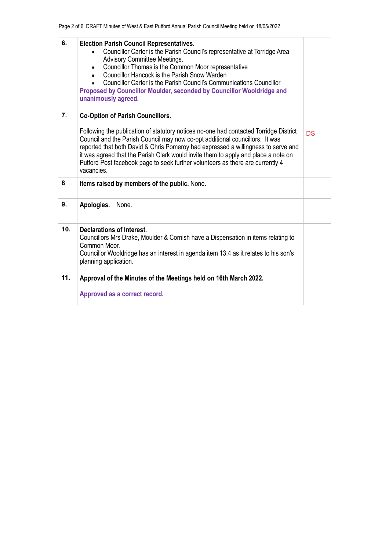| 6.  | <b>Election Parish Council Representatives.</b><br>Councillor Carter is the Parish Council's representative at Torridge Area<br>Advisory Committee Meetings.<br>Councillor Thomas is the Common Moor representative<br>$\blacksquare$<br>Councillor Hancock is the Parish Snow Warden<br>Councillor Carter is the Parish Council's Communications Councillor<br>Proposed by Councillor Moulder, seconded by Councillor Wooldridge and<br>unanimously agreed. |           |
|-----|--------------------------------------------------------------------------------------------------------------------------------------------------------------------------------------------------------------------------------------------------------------------------------------------------------------------------------------------------------------------------------------------------------------------------------------------------------------|-----------|
| 7.  | <b>Co-Option of Parish Councillors.</b>                                                                                                                                                                                                                                                                                                                                                                                                                      |           |
|     | Following the publication of statutory notices no-one had contacted Torridge District<br>Council and the Parish Council may now co-opt additional councillors. It was<br>reported that both David & Chris Pomeroy had expressed a willingness to serve and<br>it was agreed that the Parish Clerk would invite them to apply and place a note on<br>Putford Post facebook page to seek further volunteers as there are currently 4<br>vacancies.             | <b>DS</b> |
| 8   | Items raised by members of the public. None.                                                                                                                                                                                                                                                                                                                                                                                                                 |           |
| 9.  | Apologies.<br>None.                                                                                                                                                                                                                                                                                                                                                                                                                                          |           |
| 10. | Declarations of Interest.<br>Councillors Mrs Drake, Moulder & Cornish have a Dispensation in items relating to<br>Common Moor.<br>Councillor Wooldridge has an interest in agenda item 13.4 as it relates to his son's<br>planning application.                                                                                                                                                                                                              |           |
| 11. | Approval of the Minutes of the Meetings held on 16th March 2022.                                                                                                                                                                                                                                                                                                                                                                                             |           |
|     | Approved as a correct record.                                                                                                                                                                                                                                                                                                                                                                                                                                |           |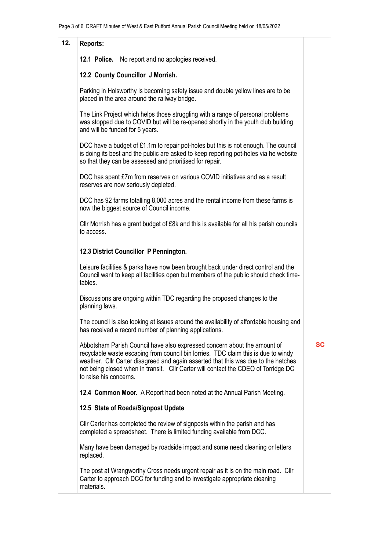| 12. | Reports:                                                                                                                                                                                                                                                                                                                                                             |           |  |
|-----|----------------------------------------------------------------------------------------------------------------------------------------------------------------------------------------------------------------------------------------------------------------------------------------------------------------------------------------------------------------------|-----------|--|
|     | 12.1 Police. No report and no apologies received.                                                                                                                                                                                                                                                                                                                    |           |  |
|     | 12.2 County Councillor J Morrish.                                                                                                                                                                                                                                                                                                                                    |           |  |
|     | Parking in Holsworthy is becoming safety issue and double yellow lines are to be<br>placed in the area around the railway bridge.                                                                                                                                                                                                                                    |           |  |
|     | The Link Project which helps those struggling with a range of personal problems<br>was stopped due to COVID but will be re-opened shortly in the youth club building<br>and will be funded for 5 years.                                                                                                                                                              |           |  |
|     | DCC have a budget of £1.1m to repair pot-holes but this is not enough. The council<br>is doing its best and the public are asked to keep reporting pot-holes via he website<br>so that they can be assessed and prioritised for repair.                                                                                                                              |           |  |
|     | DCC has spent £7m from reserves on various COVID initiatives and as a result<br>reserves are now seriously depleted.                                                                                                                                                                                                                                                 |           |  |
|     | DCC has 92 farms totalling 8,000 acres and the rental income from these farms is<br>now the biggest source of Council income.                                                                                                                                                                                                                                        |           |  |
|     | Cllr Morrish has a grant budget of £8k and this is available for all his parish councils<br>to access.                                                                                                                                                                                                                                                               |           |  |
|     | 12.3 District Councillor P Pennington.                                                                                                                                                                                                                                                                                                                               |           |  |
|     | Leisure facilities & parks have now been brought back under direct control and the<br>Council want to keep all facilities open but members of the public should check time-<br>tables.                                                                                                                                                                               |           |  |
|     | Discussions are ongoing within TDC regarding the proposed changes to the<br>planning laws.                                                                                                                                                                                                                                                                           |           |  |
|     | The council is also looking at issues around the availability of affordable housing and<br>has received a record number of planning applications.                                                                                                                                                                                                                    |           |  |
|     | Abbotsham Parish Council have also expressed concern about the amount of<br>recyclable waste escaping from council bin lorries. TDC claim this is due to windy<br>weather. Cllr Carter disagreed and again asserted that this was due to the hatches<br>not being closed when in transit. Cllr Carter will contact the CDEO of Torridge DC<br>to raise his concerns. | <b>SC</b> |  |
|     | 12.4 Common Moor. A Report had been noted at the Annual Parish Meeting.                                                                                                                                                                                                                                                                                              |           |  |
|     | 12.5 State of Roads/Signpost Update                                                                                                                                                                                                                                                                                                                                  |           |  |
|     | Cllr Carter has completed the review of signposts within the parish and has<br>completed a spreadsheet. There is limited funding available from DCC.                                                                                                                                                                                                                 |           |  |
|     | Many have been damaged by roadside impact and some need cleaning or letters<br>replaced.                                                                                                                                                                                                                                                                             |           |  |
|     | The post at Wrangworthy Cross needs urgent repair as it is on the main road. Cllr<br>Carter to approach DCC for funding and to investigate appropriate cleaning<br>materials.                                                                                                                                                                                        |           |  |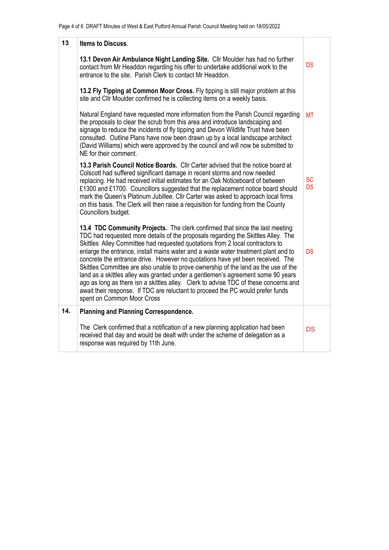| 13  | <b>Items to Discuss.</b>                                                                                                                                                                                                                                                                                                                                                                                                                                                                                                                                                                                                                                                                                                                                                                                       |                        |
|-----|----------------------------------------------------------------------------------------------------------------------------------------------------------------------------------------------------------------------------------------------------------------------------------------------------------------------------------------------------------------------------------------------------------------------------------------------------------------------------------------------------------------------------------------------------------------------------------------------------------------------------------------------------------------------------------------------------------------------------------------------------------------------------------------------------------------|------------------------|
|     | 13.1 Devon Air Ambulance Night Landing Site. Cllr Moulder has had no further<br>contact from Mr Headdon regarding his offer to undertake additional work to the<br>entrance to the site. Parish Clerk to contact Mr Headdon.                                                                                                                                                                                                                                                                                                                                                                                                                                                                                                                                                                                   | <b>DS</b>              |
|     | 13.2 Fly Tipping at Common Moor Cross. Fly tipping is still major problem at this<br>site and CIIr Moulder confirmed he is collecting items on a weekly basis.                                                                                                                                                                                                                                                                                                                                                                                                                                                                                                                                                                                                                                                 |                        |
|     | Natural England have requested more information from the Parish Council regarding<br>the proposals to clear the scrub from this area and introduce landscaping and<br>signage to reduce the incidents of fly tipping and Devon Wildlife Trust have been<br>consulted. Outline Plans have now been drawn up by a local landscape architect<br>(David Williams) which were approved by the council and will now be submitted to<br>NE for their comment.                                                                                                                                                                                                                                                                                                                                                         | <b>MT</b>              |
|     | 13.3 Parish Council Notice Boards. Cllr Carter advised that the notice board at<br>Colscott had suffered significant damage in recent storms and now needed<br>replacing. He had received initial estimates for an Oak Noticeboard of between<br>£1300 and £1700. Councillors suggested that the replacement notice board should<br>mark the Queen's Platinum Jubillee. Cllr Carter was asked to approach local firms<br>on this basis. The Clerk will then raise a requisition for funding from the County<br>Councillors budget.                                                                                                                                                                                                                                                                             | <b>SC</b><br><b>DS</b> |
|     | 13.4 TDC Community Projects. The clerk confirmed that since the last meeting<br>TDC had requested more details of the proposals regarding the Skittles Alley. The<br>Skittles Alley Committee had requested quotations from 2 local contractors to<br>enlarge the entrance, install mains water and a waste water treatment plant and to<br>concrete the entrance drive. However no quotations have yet been received. The<br>Skittles Committee are also unable to prove ownership of the land as the use of the<br>land as a skittles alley was granted under a gentlemen's agreement some 90 years<br>ago as long as there isn a skittles alley. Clerk to advise TDC of these concerns and<br>await their response. If TDC are reluctant to proceed the PC would prefer funds<br>spent on Common Moor Cross | <b>DS</b>              |
| 14. | <b>Planning and Planning Correspondence.</b>                                                                                                                                                                                                                                                                                                                                                                                                                                                                                                                                                                                                                                                                                                                                                                   |                        |
|     | The Clerk confirmed that a notification of a new planning application had been<br>received that day and would be dealt with under the scheme of delegation as a<br>response was required by 11th June.                                                                                                                                                                                                                                                                                                                                                                                                                                                                                                                                                                                                         | <b>DS</b>              |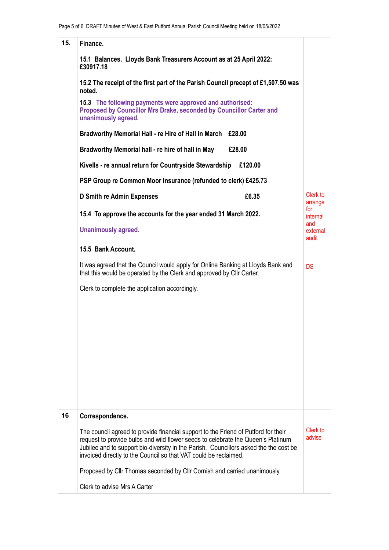| 15. | Finance.                                                                                                                                                                                                                                                                                                                                  |                          |  |
|-----|-------------------------------------------------------------------------------------------------------------------------------------------------------------------------------------------------------------------------------------------------------------------------------------------------------------------------------------------|--------------------------|--|
|     |                                                                                                                                                                                                                                                                                                                                           |                          |  |
|     | 15.1 Balances. Lloyds Bank Treasurers Account as at 25 April 2022:<br>£30917.18<br>15.2 The receipt of the first part of the Parish Council precept of £1,507.50 was<br>noted.<br>15.3 The following payments were approved and authorised:<br>Proposed by Councillor Mrs Drake, seconded by Councillor Carter and<br>unanimously agreed. |                          |  |
|     |                                                                                                                                                                                                                                                                                                                                           |                          |  |
|     |                                                                                                                                                                                                                                                                                                                                           |                          |  |
|     | Bradworthy Memorial Hall - re Hire of Hall in March<br>£28.00                                                                                                                                                                                                                                                                             |                          |  |
|     | Bradworthy Memorial hall - re hire of hall in May<br>£28.00                                                                                                                                                                                                                                                                               |                          |  |
|     | Kivells - re annual return for Countryside Stewardship<br>£120.00                                                                                                                                                                                                                                                                         |                          |  |
|     | PSP Group re Common Moor Insurance (refunded to clerk) £425.73                                                                                                                                                                                                                                                                            |                          |  |
|     | £6.35<br>D Smith re Admin Expenses                                                                                                                                                                                                                                                                                                        | Clerk to<br>arrange      |  |
|     | 15.4 To approve the accounts for the year ended 31 March 2022.                                                                                                                                                                                                                                                                            |                          |  |
|     | <b>Unanimously agreed.</b>                                                                                                                                                                                                                                                                                                                | and<br>external<br>audit |  |
|     | 15.5 Bank Account.                                                                                                                                                                                                                                                                                                                        |                          |  |
|     | It was agreed that the Council would apply for Online Banking at Lloyds Bank and<br>that this would be operated by the Clerk and approved by Cllr Carter.                                                                                                                                                                                 | <b>DS</b>                |  |
|     | Clerk to complete the application accordingly.                                                                                                                                                                                                                                                                                            |                          |  |
|     |                                                                                                                                                                                                                                                                                                                                           |                          |  |
|     |                                                                                                                                                                                                                                                                                                                                           |                          |  |
|     |                                                                                                                                                                                                                                                                                                                                           |                          |  |
|     |                                                                                                                                                                                                                                                                                                                                           |                          |  |
|     |                                                                                                                                                                                                                                                                                                                                           |                          |  |
|     |                                                                                                                                                                                                                                                                                                                                           |                          |  |
|     |                                                                                                                                                                                                                                                                                                                                           |                          |  |
| 16  | Correspondence.                                                                                                                                                                                                                                                                                                                           |                          |  |
|     | The council agreed to provide financial support to the Friend of Putford for their<br>request to provide bulbs and wild flower seeds to celebrate the Queen's Platinum<br>Jubilee and to support bio-diversity in the Parish. Councillors asked the the cost be<br>invoiced directly to the Council so that VAT could be reclaimed.       | Clerk to<br>advise       |  |
|     | Proposed by Cllr Thomas seconded by Cllr Cornish and carried unanimously                                                                                                                                                                                                                                                                  |                          |  |
|     | Clerk to advise Mrs A Carter                                                                                                                                                                                                                                                                                                              |                          |  |